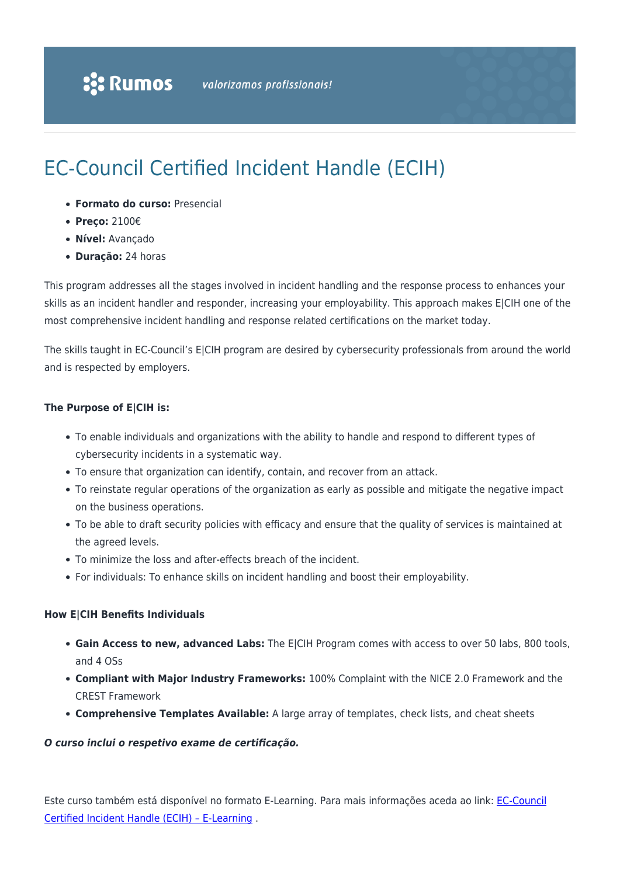# EC-Council Certified Incident Handle (ECIH)

- **Formato do curso:** Presencial
- **Preço:** 2100€
- **Nível:** Avançado
- **Duração:** 24 horas

This program addresses all the stages involved in incident handling and the response process to enhances your skills as an incident handler and responder, increasing your employability. This approach makes E|CIH one of the most comprehensive incident handling and response related certifications on the market today.

The skills taught in EC-Council's E|CIH program are desired by cybersecurity professionals from around the world and is respected by employers.

#### **The Purpose of E|CIH is:**

- To enable individuals and organizations with the ability to handle and respond to different types of cybersecurity incidents in a systematic way.
- To ensure that organization can identify, contain, and recover from an attack.
- To reinstate regular operations of the organization as early as possible and mitigate the negative impact on the business operations.
- To be able to draft security policies with efficacy and ensure that the quality of services is maintained at the agreed levels.
- To minimize the loss and after-effects breach of the incident.
- For individuals: To enhance skills on incident handling and boost their employability.

#### **How E|CIH Benefits Individuals**

- **Gain Access to new, advanced Labs:** The E|CIH Program comes with access to over 50 labs, 800 tools, and 4 OSs
- **Compliant with Major Industry Frameworks:** 100% Complaint with the NICE 2.0 Framework and the CREST Framework
- **Comprehensive Templates Available:** A large array of templates, check lists, and cheat sheets

#### *O curso inclui o respetivo exame de certificação.*

Este curso também está disponível no formato E-Learning. Para mais informações aceda ao link: [EC-Council](https://www.rumos.pt/curso/ec-council-certified-incident-handle-ecih-e-learning/) [Certified Incident Handle \(ECIH\) – E-Learning](https://www.rumos.pt/curso/ec-council-certified-incident-handle-ecih-e-learning/) .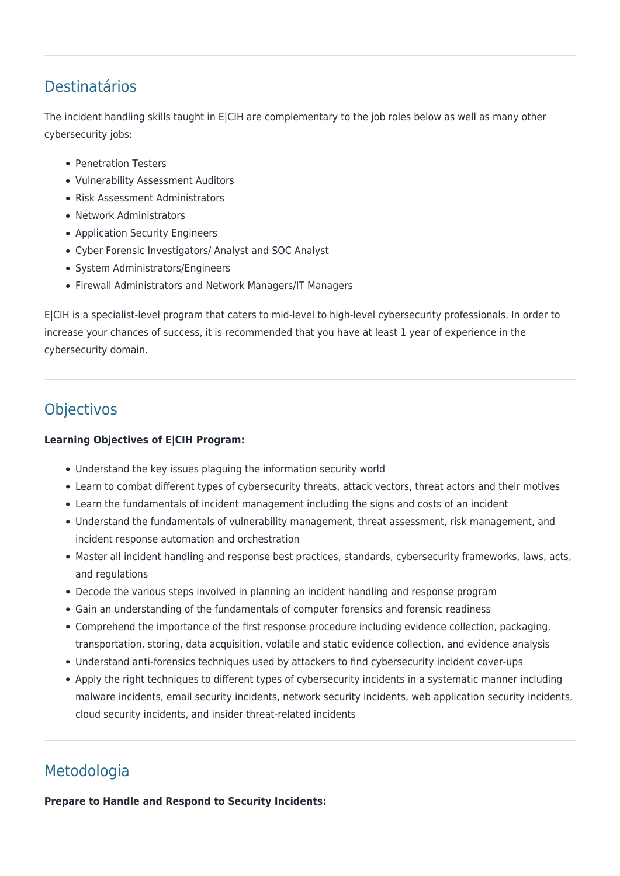### Destinatários

The incident handling skills taught in E|CIH are complementary to the job roles below as well as many other cybersecurity jobs:

- Penetration Testers
- Vulnerability Assessment Auditors
- Risk Assessment Administrators
- Network Administrators
- Application Security Engineers
- Cyber Forensic Investigators/ Analyst and SOC Analyst
- System Administrators/Engineers
- Firewall Administrators and Network Managers/IT Managers

E|CIH is a specialist-level program that caters to mid-level to high-level cybersecurity professionals. In order to increase your chances of success, it is recommended that you have at least 1 year of experience in the cybersecurity domain.

## Objectivos

### **Learning Objectives of E|CIH Program:**

- Understand the key issues plaguing the information security world
- Learn to combat different types of cybersecurity threats, attack vectors, threat actors and their motives
- Learn the fundamentals of incident management including the signs and costs of an incident
- Understand the fundamentals of vulnerability management, threat assessment, risk management, and incident response automation and orchestration
- Master all incident handling and response best practices, standards, cybersecurity frameworks, laws, acts, and regulations
- Decode the various steps involved in planning an incident handling and response program
- Gain an understanding of the fundamentals of computer forensics and forensic readiness
- Comprehend the importance of the first response procedure including evidence collection, packaging, transportation, storing, data acquisition, volatile and static evidence collection, and evidence analysis
- Understand anti-forensics techniques used by attackers to find cybersecurity incident cover-ups
- Apply the right techniques to different types of cybersecurity incidents in a systematic manner including malware incidents, email security incidents, network security incidents, web application security incidents, cloud security incidents, and insider threat-related incidents

## Metodologia

**Prepare to Handle and Respond to Security Incidents:**